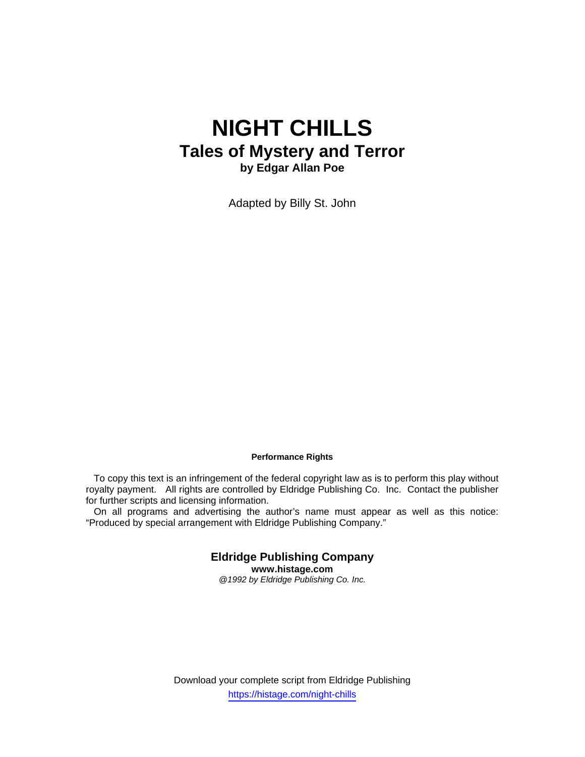# **NIGHT CHILLS Tales of Mystery and Terror by Edgar Allan Poe**

Adapted by Billy St. John

## **Performance Rights**

 To copy this text is an infringement of the federal copyright law as is to perform this play without royalty payment. All rights are controlled by Eldridge Publishing Co. Inc. Contact the publisher for further scripts and licensing information.

 On all programs and advertising the author's name must appear as well as this notice: "Produced by special arrangement with Eldridge Publishing Company."

> **Eldridge Publishing Company www.histage.com**  *@1992 by Eldridge Publishing Co. Inc.*

Download your complete script from Eldridge Publishing https://histage.com/night-chills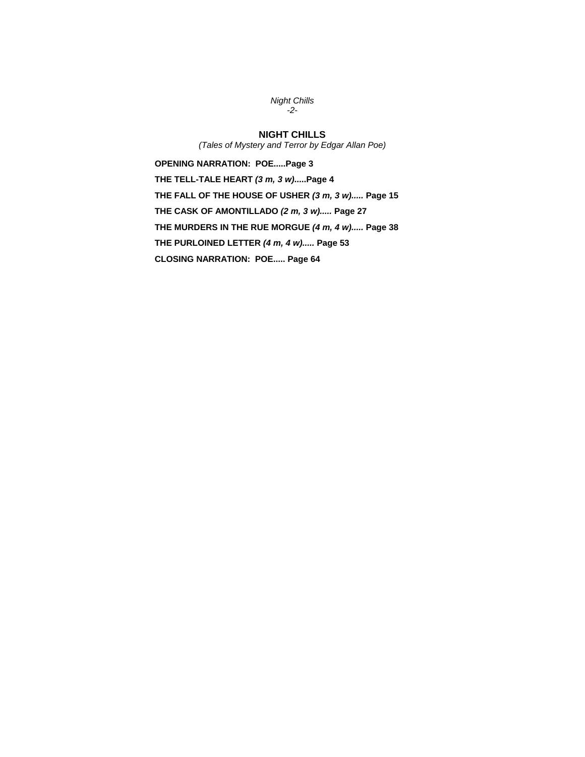*Night Chills -2-* 

## **NIGHT CHILLS**

*(Tales of Mystery and Terror by Edgar Allan Poe)* 

**OPENING NARRATION: POE.....Page 3 THE TELL-TALE HEART** *(3 m, 3 w)***.....Page 4 THE FALL OF THE HOUSE OF USHER** *(3 m, 3 w).....* **Page 15 THE CASK OF AMONTILLADO** *(2 m, 3 w).....* **Page 27 THE MURDERS IN THE RUE MORGUE** *(4 m, 4 w).....* **Page 38 THE PURLOINED LETTER** *(4 m, 4 w).....* **Page 53 CLOSING NARRATION: POE..... Page 64**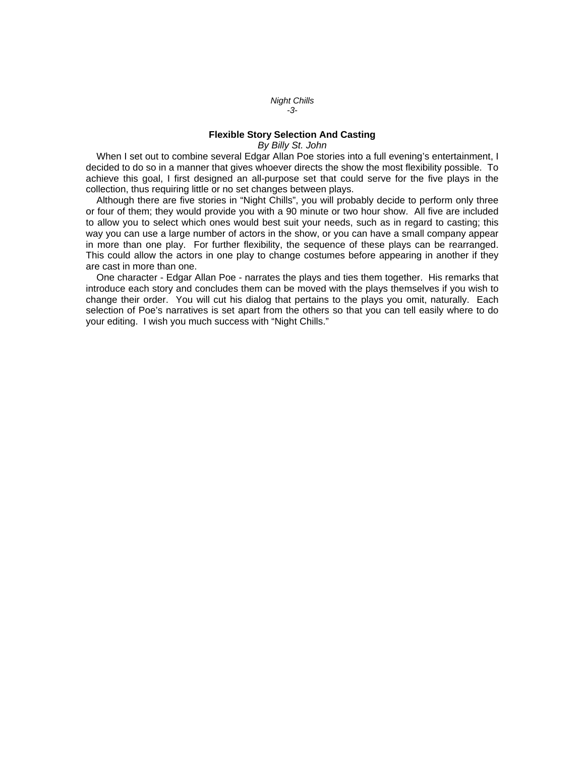*Night Chills -3-* 

## **Flexible Story Selection And Casting**

*By Billy St. John* 

When I set out to combine several Edgar Allan Poe stories into a full evening's entertainment, I decided to do so in a manner that gives whoever directs the show the most flexibility possible. To achieve this goal, I first designed an all-purpose set that could serve for the five plays in the collection, thus requiring little or no set changes between plays.

 Although there are five stories in "Night Chills", you will probably decide to perform only three or four of them; they would provide you with a 90 minute or two hour show. All five are included to allow you to select which ones would best suit your needs, such as in regard to casting; this way you can use a large number of actors in the show, or you can have a small company appear in more than one play. For further flexibility, the sequence of these plays can be rearranged. This could allow the actors in one play to change costumes before appearing in another if they are cast in more than one.

 One character - Edgar Allan Poe - narrates the plays and ties them together. His remarks that introduce each story and concludes them can be moved with the plays themselves if you wish to change their order. You will cut his dialog that pertains to the plays you omit, naturally. Each selection of Poe's narratives is set apart from the others so that you can tell easily where to do your editing. I wish you much success with "Night Chills."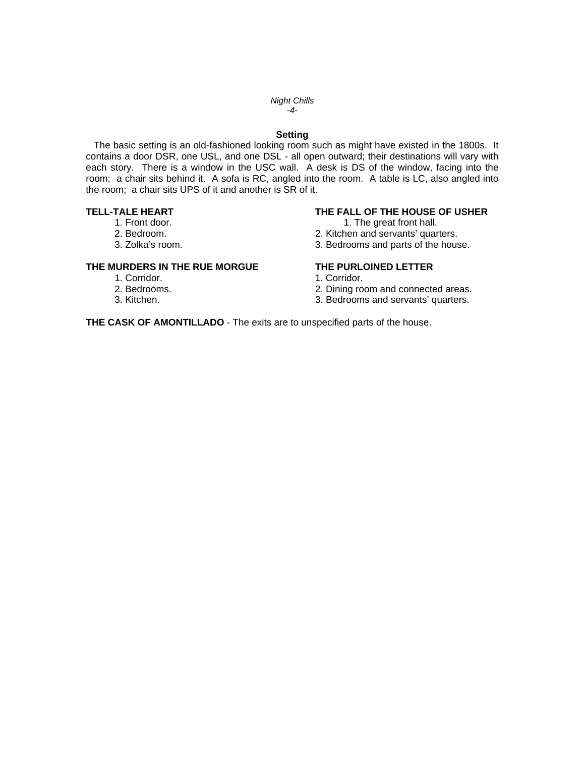### *Night Chills -4-*

## **Setting**

 The basic setting is an old-fashioned looking room such as might have existed in the 1800s. It contains a door DSR, one USL, and one DSL - all open outward; their destinations will vary with each story. There is a window in the USC wall. A desk is DS of the window, facing into the room; a chair sits behind it. A sofa is RC, angled into the room. A table is LC, also angled into the room; a chair sits UPS of it and another is SR of it.

- 
- 
- 

## **THE MURDERS IN THE RUE MORGUE THE PURLOINED LETTER**

- 1. Corridor. 1. Corridor.
- 
- 
- 

## **TELL-TALE HEART THE FALL OF THE HOUSE OF USHER**

- 1. Front door. The great front hall.
- 2. Bedroom. 2. Kitchen and servants' quarters.
- 3. Zolka's room. 3. Bedrooms and parts of the house.

- 
- 
- 2. Bedrooms.<br>
2. Dining room and connected areas.<br>
3. Kitchen.<br>
3. Bedrooms and servants' quarters. 3. Bedrooms and servants' quarters.

**THE CASK OF AMONTILLADO** - The exits are to unspecified parts of the house.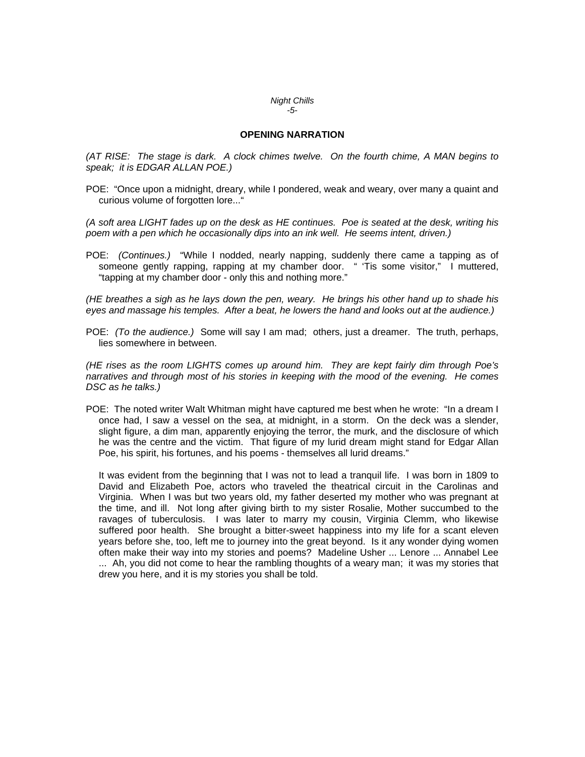### *Night Chills -5-*

## **OPENING NARRATION**

*(AT RISE: The stage is dark. A clock chimes twelve. On the fourth chime, A MAN begins to speak; it is EDGAR ALLAN POE.)* 

POE: "Once upon a midnight, dreary, while I pondered, weak and weary, over many a quaint and curious volume of forgotten lore..."

*(A soft area LIGHT fades up on the desk as HE continues. Poe is seated at the desk, writing his*  poem with a pen which he occasionally dips into an ink well. He seems intent, driven.)

POE: *(Continues.)* "While I nodded, nearly napping, suddenly there came a tapping as of someone gently rapping, rapping at my chamber door. " 'Tis some visitor," I muttered, "tapping at my chamber door - only this and nothing more."

*(HE breathes a sigh as he lays down the pen, weary. He brings his other hand up to shade his eyes and massage his temples. After a beat, he lowers the hand and looks out at the audience.)* 

POE: *(To the audience.)* Some will say I am mad; others, just a dreamer. The truth, perhaps, lies somewhere in between.

*(HE rises as the room LIGHTS comes up around him. They are kept fairly dim through Poe's narratives and through most of his stories in keeping with the mood of the evening. He comes DSC as he talks.)* 

POE: The noted writer Walt Whitman might have captured me best when he wrote: "In a dream I once had, I saw a vessel on the sea, at midnight, in a storm. On the deck was a slender, slight figure, a dim man, apparently enjoying the terror, the murk, and the disclosure of which he was the centre and the victim. That figure of my lurid dream might stand for Edgar Allan Poe, his spirit, his fortunes, and his poems - themselves all lurid dreams."

 It was evident from the beginning that I was not to lead a tranquil life. I was born in 1809 to David and Elizabeth Poe, actors who traveled the theatrical circuit in the Carolinas and Virginia. When I was but two years old, my father deserted my mother who was pregnant at the time, and ill. Not long after giving birth to my sister Rosalie, Mother succumbed to the ravages of tuberculosis. I was later to marry my cousin, Virginia Clemm, who likewise suffered poor health. She brought a bitter-sweet happiness into my life for a scant eleven years before she, too, left me to journey into the great beyond. Is it any wonder dying women often make their way into my stories and poems? Madeline Usher ... Lenore ... Annabel Lee ... Ah, you did not come to hear the rambling thoughts of a weary man; it was my stories that drew you here, and it is my stories you shall be told.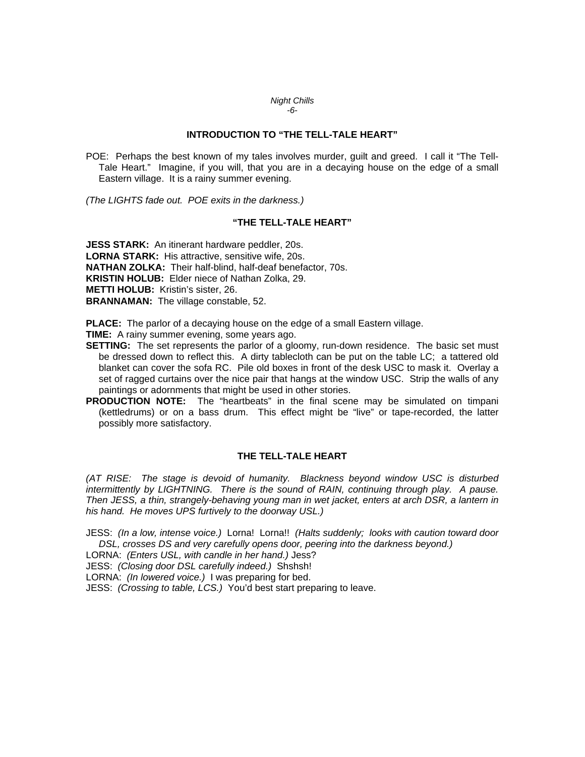### *Night Chills -6-*

## **INTRODUCTION TO "THE TELL-TALE HEART"**

POE: Perhaps the best known of my tales involves murder, guilt and greed. I call it "The Tell-Tale Heart." Imagine, if you will, that you are in a decaying house on the edge of a small Eastern village. It is a rainy summer evening.

*(The LIGHTS fade out. POE exits in the darkness.)* 

## **"THE TELL-TALE HEART"**

**JESS STARK:** An itinerant hardware peddler, 20s. **LORNA STARK:** His attractive, sensitive wife, 20s. **NATHAN ZOLKA:** Their half-blind, half-deaf benefactor, 70s. **KRISTIN HOLUB:** Elder niece of Nathan Zolka, 29. **METTI HOLUB:** Kristin's sister, 26. **BRANNAMAN:** The village constable, 52.

**PLACE:** The parlor of a decaying house on the edge of a small Eastern village.

**TIME:** A rainy summer evening, some years ago.

- **SETTING:** The set represents the parlor of a gloomy, run-down residence. The basic set must be dressed down to reflect this. A dirty tablecloth can be put on the table LC; a tattered old blanket can cover the sofa RC. Pile old boxes in front of the desk USC to mask it. Overlay a set of ragged curtains over the nice pair that hangs at the window USC. Strip the walls of any paintings or adornments that might be used in other stories.
- **PRODUCTION NOTE:** The "heartbeats" in the final scene may be simulated on timpani (kettledrums) or on a bass drum. This effect might be "live" or tape-recorded, the latter possibly more satisfactory.

## **THE TELL-TALE HEART**

*(AT RISE: The stage is devoid of humanity. Blackness beyond window USC is disturbed intermittently by LIGHTNING. There is the sound of RAIN, continuing through play. A pause. Then JESS, a thin, strangely-behaving young man in wet jacket, enters at arch DSR, a lantern in his hand. He moves UPS furtively to the doorway USL.)* 

JESS: *(In a low, intense voice.)* Lorna! Lorna!! *(Halts suddenly; looks with caution toward door*  DSL, crosses DS and very carefully opens door, peering into the darkness beyond.)

LORNA: *(Enters USL, with candle in her hand.)* Jess?

JESS: *(Closing door DSL carefully indeed.)* Shshsh!

LORNA: *(In lowered voice.)* I was preparing for bed.

JESS: *(Crossing to table, LCS.)* You'd best start preparing to leave.